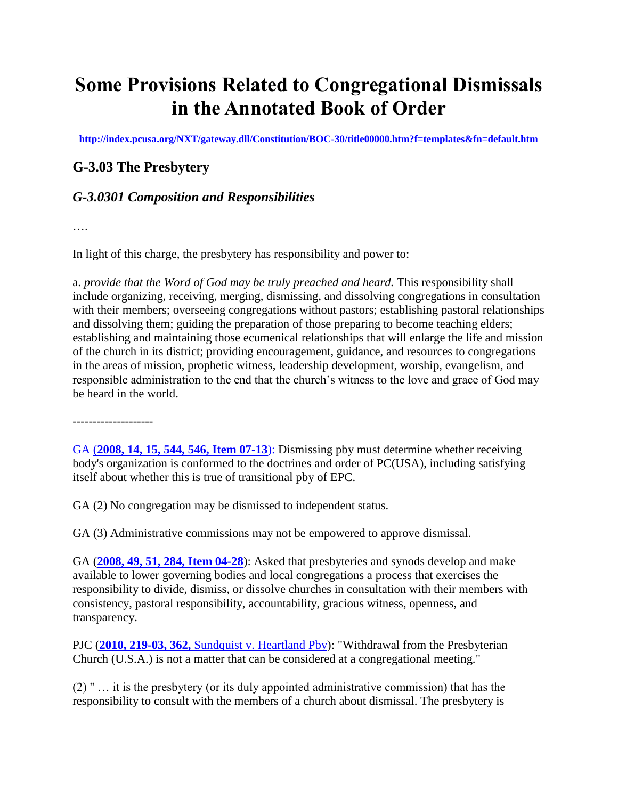## **Some Provisions Related to Congregational Dismissals in the Annotated Book of Order**

**<http://index.pcusa.org/NXT/gateway.dll/Constitution/BOC-30/title00000.htm?f=templates&fn=default.htm>**

## **G-3.03 The Presbytery**

## *G-3.0301 Composition and Responsibilities*

….

In light of this charge, the presbytery has responsibility and power to:

a. *provide that the Word of God may be truly preached and heard.* This responsibility shall include organizing, receiving, merging, dismissing, and dissolving congregations in consultation with their members; overseeing congregations without pastors; establishing pastoral relationships and dissolving them; guiding the preparation of those preparing to become teaching elders; establishing and maintaining those ecumenical relationships that will enlarge the life and mission of the church in its district; providing encouragement, guidance, and resources to congregations in the areas of mission, prophetic witness, leadership development, worship, evangelism, and responsible administration to the end that the church's witness to the love and grace of God may be heard in the world.

--------------------

GA (**[2008, 14, 15, 544, 546, Item 07-13](http://index.pcusa.org/NXT/gateway.dll?f=id$id=200708BoO%3Ar%3A6baa$cid=200708BoO$t=document-frame.htm$an=JD_Item07-13,2008,TransferMinisterstoTransPbys$3.0#JD_Item07-13,2008,TransferMinisterstoTransPbys)**): Dismissing pby must determine whether receiving body's organization is conformed to the doctrines and order of PC(USA), including satisfying itself about whether this is true of transitional pby of EPC.

GA (2) No congregation may be dismissed to independent status.

GA (3) Administrative commissions may not be empowered to approve dismissal.

GA (**[2008, 49, 51, 284, Item 04-28](http://index.pcusa.org/NXT/gateway.dll?f=id$id=200708BoO%3Ar%3A662b$cid=200708BoO$t=document-frame.htm$an=JD_Item04-28,2008,PastoralResponsetoChurchesDismissing$3.0#JD_Item04-28,2008,PastoralResponsetoChurchesDismissing)**): Asked that presbyteries and synods develop and make available to lower governing bodies and local congregations a process that exercises the responsibility to divide, dismiss, or dissolve churches in consultation with their members with consistency, pastoral responsibility, accountability, gracious witness, openness, and transparency.

PJC (**2010, 219-03, 362,** [Sundquist v. Heartland Pby\)](http://index.pcusa.org/NXT/gateway.dll?f=id$id=200708BoO%3Ar%3A2d7d$cid=200708BoO$t=document-frame.htm$an=JD_SundquistetalvHeartlandPby-2010-219-03$3.0#JD_SundquistetalvHeartlandPby-2010-219-03): "Withdrawal from the Presbyterian Church (U.S.A.) is not a matter that can be considered at a congregational meeting."

(2) " … it is the presbytery (or its duly appointed administrative commission) that has the responsibility to consult with the members of a church about dismissal. The presbytery is